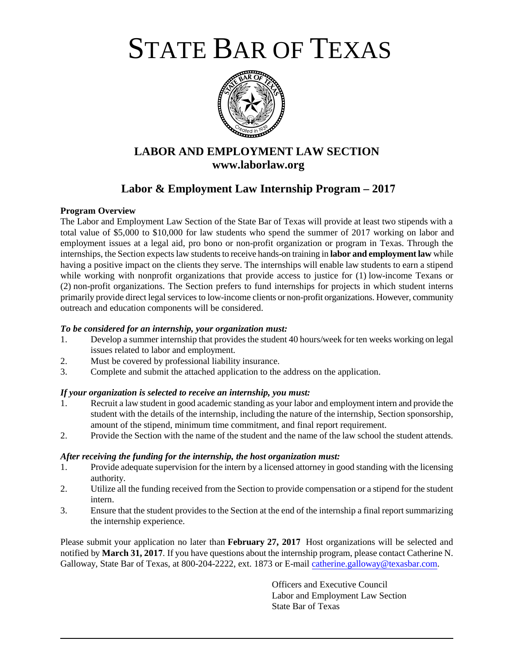STATE BAR OF TEXAS



# **LABOR AND EMPLOYMENT LAW SECTION www.laborlaw.org**

# **Labor & Employment Law Internship Program – 2017**

#### **Program Overview**

The Labor and Employment Law Section of the State Bar of Texas will provide at least two stipends with a total value of \$5,000 to \$10,000 for law students who spend the summer of 2017 working on labor and employment issues at a legal aid, pro bono or non-profit organization or program in Texas. Through the internships, the Section expects law students to receive hands-on training in **labor and employment law** while having a positive impact on the clients they serve. The internships will enable law students to earn a stipend while working with nonprofit organizations that provide access to justice for (1) low-income Texans or (2) non-profit organizations. The Section prefers to fund internships for projects in which student interns primarily provide direct legal services to low-income clients or non-profit organizations. However, community outreach and education components will be considered.

#### *To be considered for an internship, your organization must:*

- 1. Develop a summer internship that provides the student 40 hours/week for ten weeks working on legal issues related to labor and employment.
- 2. Must be covered by professional liability insurance.
- 3. Complete and submit the attached application to the address on the application.

## *If your organization is selected to receive an internship, you must:*

- 1. Recruit a law student in good academic standing as your labor and employment intern and provide the student with the details of the internship, including the nature of the internship, Section sponsorship, amount of the stipend, minimum time commitment, and final report requirement.
- 2. Provide the Section with the name of the student and the name of the law school the student attends.

#### *After receiving the funding for the internship, the host organization must:*

- 1. Provide adequate supervision for the intern by a licensed attorney in good standing with the licensing authority.
- 2. Utilize all the funding received from the Section to provide compensation or a stipend for the student intern.
- 3. Ensure that the student provides to the Section at the end of the internship a final report summarizing the internship experience.

Please submit your application no later than **February 27, 2017** Host organizations will be selected and notified by **March 31, 2017**. If you have questions about the internship program, please contact Catherine N. Galloway, State Bar of Texas, at 800-204-2222, ext. 1873 or E-mail [catherine.galloway@texasbar.com.](mailto:catherine.galloway@texasbar.com)

> Officers and Executive Council Labor and Employment Law Section State Bar of Texas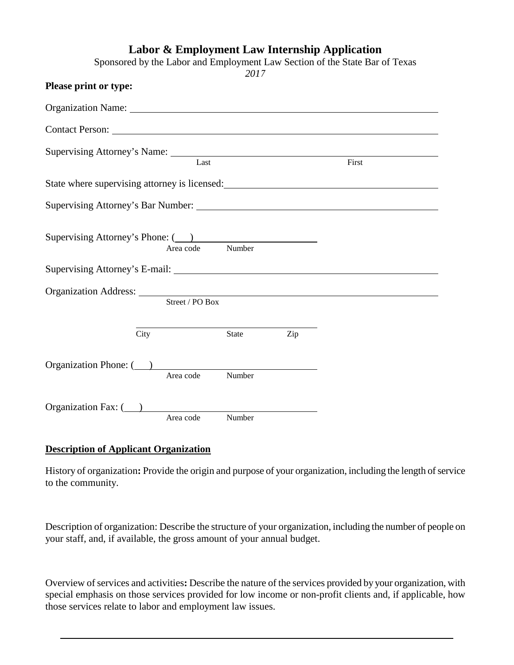|                                                                                                                                                                                                                                |           | Labor & Employment Law Internship Application<br>2017 |     | Sponsored by the Labor and Employment Law Section of the State Bar of Texas |
|--------------------------------------------------------------------------------------------------------------------------------------------------------------------------------------------------------------------------------|-----------|-------------------------------------------------------|-----|-----------------------------------------------------------------------------|
| Please print or type:                                                                                                                                                                                                          |           |                                                       |     |                                                                             |
| Organization Name: 1988 and 2008 and 2008 and 2008 and 2008 and 2008 and 2008 and 2008 and 2008 and 2008 and 20                                                                                                                |           |                                                       |     |                                                                             |
| Contact Person: 2008 and 2008 and 2008 and 2008 and 2008 and 2008 and 2008 and 2008 and 2008 and 2008 and 2008 and 2008 and 2008 and 2008 and 2008 and 2008 and 2008 and 2008 and 2008 and 2008 and 2008 and 2008 and 2008 and |           |                                                       |     |                                                                             |
|                                                                                                                                                                                                                                | Last      |                                                       |     | First                                                                       |
| State where supervising attorney is licensed:                                                                                                                                                                                  |           |                                                       |     |                                                                             |
|                                                                                                                                                                                                                                |           |                                                       |     |                                                                             |
| Supervising Attorney's Phone: (2013)<br>Number<br>Area code                                                                                                                                                                    |           |                                                       |     |                                                                             |
| Street / PO Box                                                                                                                                                                                                                |           |                                                       |     |                                                                             |
| City                                                                                                                                                                                                                           |           | State                                                 | Zip |                                                                             |
| Organization Phone: (2012)                                                                                                                                                                                                     | Area code | Number                                                |     |                                                                             |
| Organization Fax: $($ )                                                                                                                                                                                                        | Area code | Number                                                |     |                                                                             |

# **Description of Applicant Organization**

History of organization**:** Provide the origin and purpose of your organization, including the length of service to the community.

Description of organization: Describe the structure of your organization, including the number of people on your staff, and, if available, the gross amount of your annual budget.

Overview of services and activities**:** Describe the nature of the services provided by your organization, with special emphasis on those services provided for low income or non-profit clients and, if applicable, how those services relate to labor and employment law issues.